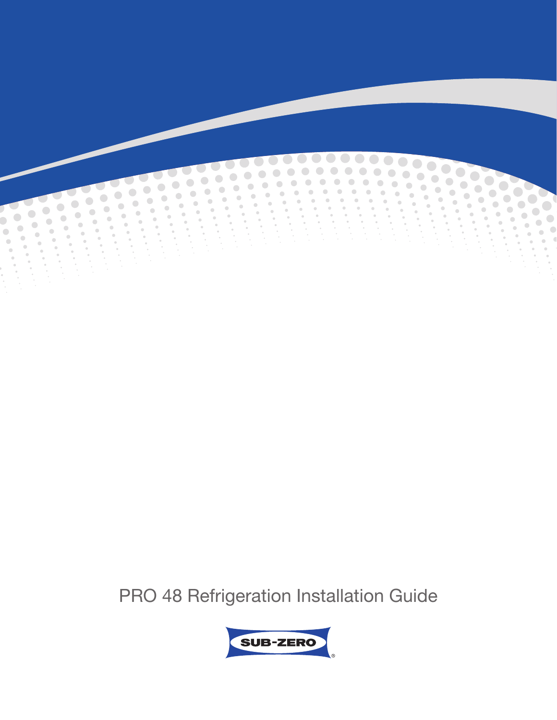

PRO 48 Refrigeration Installation Guide

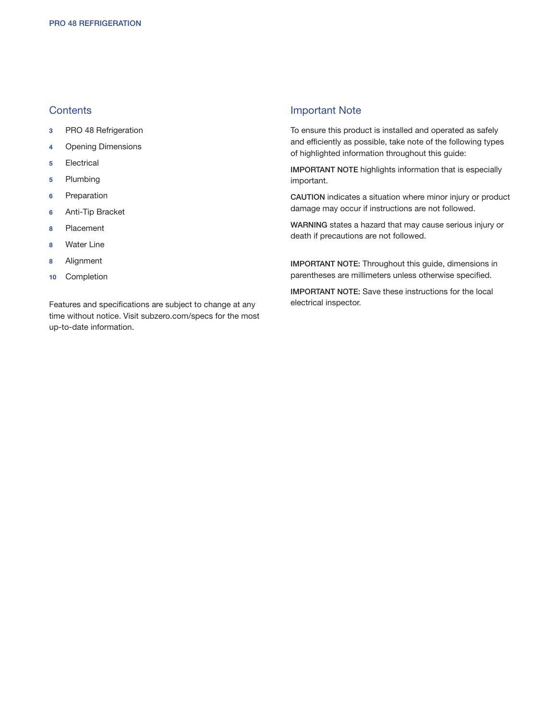# **Contents**

- 3 PRO 48 Refrigeration
- 4 Opening Dimensions
- 5 Electrical
- 5 Plumbing
- 6 Preparation
- 6 Anti-Tip Bracket
- 8 Placement
- 8 Water Line
- 8 Alignment
- 10 Completion

Features and specifications are subject to change at any time without notice. Visit subzero.com/specs for the most up-to-date information.

#### Important Note

To ensure this product is installed and operated as safely and efficiently as possible, take note of the following types of highlighted information throughout this guide:

IMPORTANT NOTE highlights information that is especially important.

CAUTION indicates a situation where minor injury or product damage may occur if instructions are not followed.

WARNING states a hazard that may cause serious injury or death if precautions are not followed.

IMPORTANT NOTE: Throughout this guide, dimensions in parentheses are millimeters unless otherwise specified.

IMPORTANT NOTE: Save these instructions for the local electrical inspector.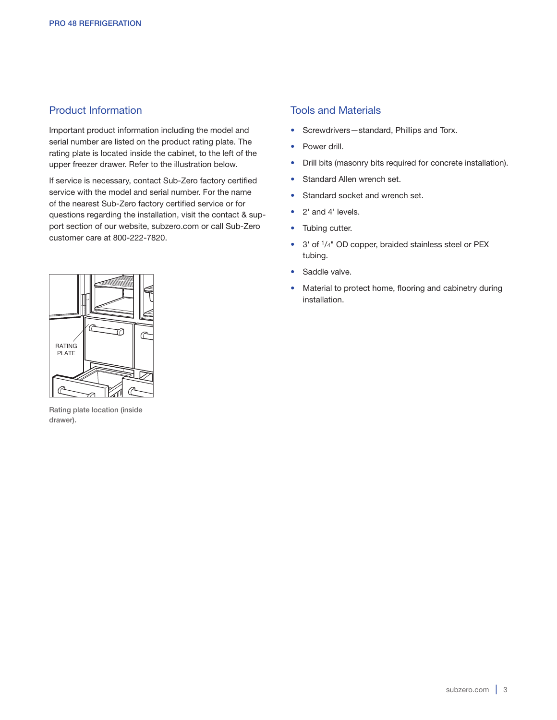# Product Information

Important product information including the model and serial number are listed on the product rating plate. The rating plate is located inside the cabinet, to the left of the upper freezer drawer. Refer to the illustration below.

If service is necessary, contact Sub-Zero factory certified service with the model and serial number. For the name of the nearest Sub-Zero factory certified service or for questions regarding the installation, visit the contact & support section of our website, subzero.com or call Sub-Zero customer care at 800-222-7820.

# Tools and Materials

- Screwdrivers—standard, Phillips and Torx.
- Power drill.
- Drill bits (masonry bits required for concrete installation).
- Standard Allen wrench set.
- Standard socket and wrench set.
- 2' and 4' levels.
- Tubing cutter.
- 3' of 1/4" OD copper, braided stainless steel or PEX tubing.
- Saddle valve.
- Material to protect home, flooring and cabinetry during installation.



Rating plate location (inside drawer).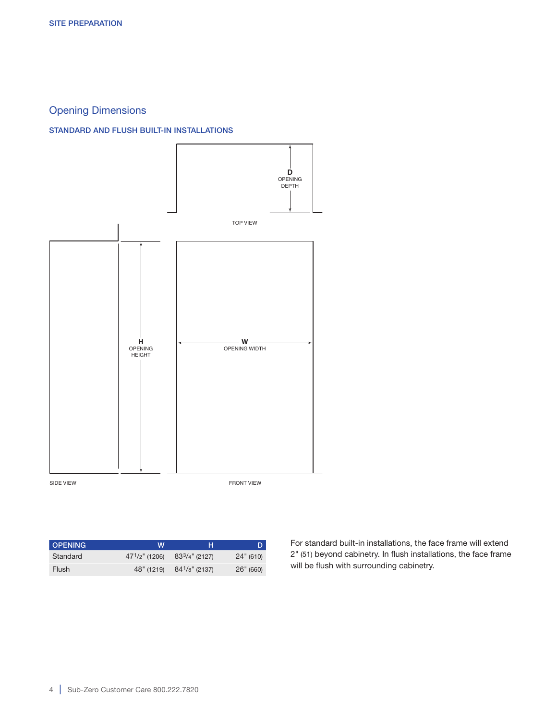# Opening Dimensions

#### STANDARD AND FLUSH BUILT-IN INSTALLATIONS



OPENING W H D Standard  $47^{1}/2$ " (1206)  $83^{3}/4$ " (2127) 24" (610) Flush 48" (1219) 841/8" (2137) 26" (660)

For standard built-in installations, the face frame will extend 2" (51) beyond cabinetry. In flush installations, the face frame will be flush with surrounding cabinetry.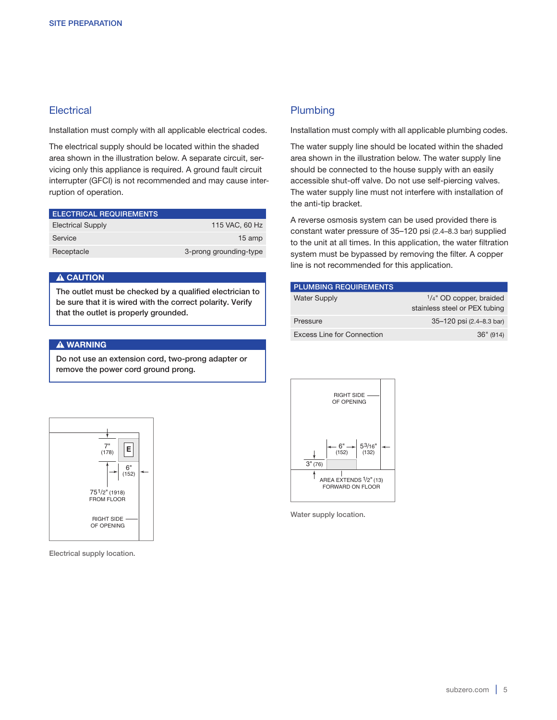# **Electrical**

Installation must comply with all applicable electrical codes.

The electrical supply should be located within the shaded area shown in the illustration below. A separate circuit, servicing only this appliance is required. A ground fault circuit interrupter (GFCI) is not recommended and may cause interruption of operation.

| <b>ELECTRICAL REQUIREMENTS</b> |                        |
|--------------------------------|------------------------|
| <b>Electrical Supply</b>       | 115 VAC, 60 Hz         |
| Service                        | 15 amp                 |
| Receptacle                     | 3-prong grounding-type |

#### A CAUTION

The outlet must be checked by a qualified electrician to be sure that it is wired with the correct polarity. Verify that the outlet is properly grounded.

#### **A WARNING**

Do not use an extension cord, two-prong adapter or remove the power cord ground prong.

# **Plumbing**

Installation must comply with all applicable plumbing codes.

The water supply line should be located within the shaded area shown in the illustration below. The water supply line should be connected to the house supply with an easily accessible shut-off valve. Do not use self-piercing valves. The water supply line must not interfere with installation of the anti-tip bracket.

A reverse osmosis system can be used provided there is constant water pressure of 35–120 psi (2.4–8.3 bar) supplied to the unit at all times. In this application, the water filtration system must be bypassed by removing the filter. A copper line is not recommended for this application.

| <b>PLUMBING REQUIREMENTS</b> |                                                             |
|------------------------------|-------------------------------------------------------------|
| <b>Water Supply</b>          | $1/4$ " OD copper, braided<br>stainless steel or PEX tubing |
| Pressure                     | 35-120 psi (2.4-8.3 bar)                                    |
| Excess Line for Connection   | 36" (914)                                                   |



Water supply location.



Electrical supply location.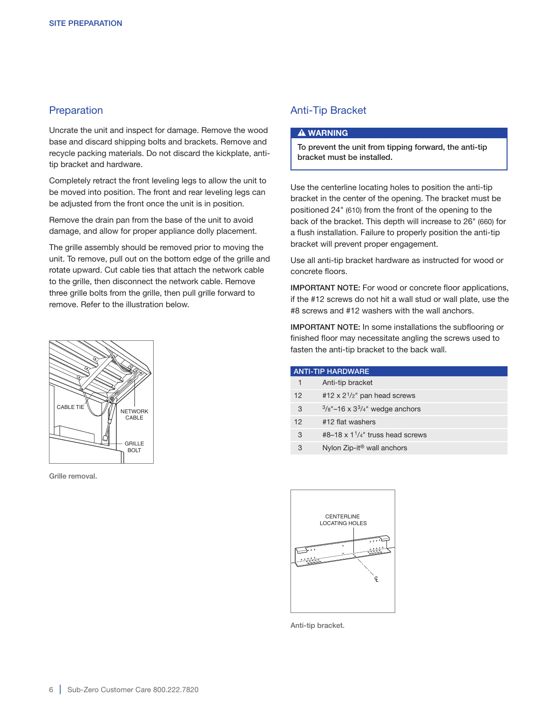# **Preparation**

Uncrate the unit and inspect for damage. Remove the wood base and discard shipping bolts and brackets. Remove and recycle packing materials. Do not discard the kickplate, antitip bracket and hardware.

Completely retract the front leveling legs to allow the unit to be moved into position. The front and rear leveling legs can be adjusted from the front once the unit is in position.

Remove the drain pan from the base of the unit to avoid damage, and allow for proper appliance dolly placement.

The grille assembly should be removed prior to moving the unit. To remove, pull out on the bottom edge of the grille and rotate upward. Cut cable ties that attach the network cable to the grille, then disconnect the network cable. Remove three grille bolts from the grille, then pull grille forward to remove. Refer to the illustration below.



Grille removal.

# Anti-Tip Bracket

#### **A WARNING**

To prevent the unit from tipping forward, the anti-tip bracket must be installed.

Use the centerline locating holes to position the anti-tip bracket in the center of the opening. The bracket must be positioned 24" (610) from the front of the opening to the back of the bracket. This depth will increase to 26" (660) for a flush installation. Failure to properly position the anti-tip bracket will prevent proper engagement.

Use all anti-tip bracket hardware as instructed for wood or concrete floors.

IMPORTANT NOTE: For wood or concrete floor applications, if the #12 screws do not hit a wall stud or wall plate, use the #8 screws and #12 washers with the wall anchors.

IMPORTANT NOTE: In some installations the subflooring or finished floor may necessitate angling the screws used to fasten the anti-tip bracket to the back wall.

| <b>ANTI-TIP HARDWARE</b> |                                                                  |
|--------------------------|------------------------------------------------------------------|
|                          | Anti-tip bracket                                                 |
| 12                       | #12 $\times$ 2 <sup>1</sup> / <sub>2</sub> " pan head screws     |
| 3                        | $3/8"$ -16 x $3^3/4"$ wedge anchors                              |
| 12                       | #12 flat washers                                                 |
| 3                        | #8-18 $\times$ 1 <sup>1</sup> / <sub>4</sub> " truss head screws |
| 3                        | Nylon Zip-it <sup>®</sup> wall anchors                           |



Anti-tip bracket.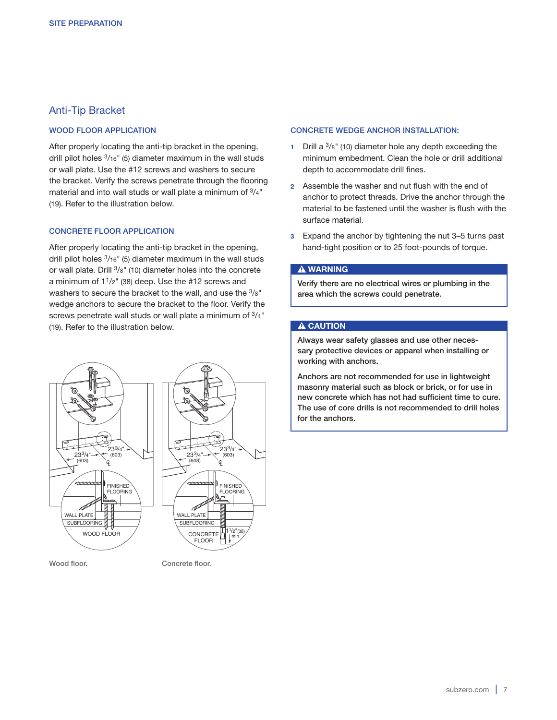# Anti-Tip Bracket

#### WOOD FLOOR APPLICATION

After properly locating the anti-tip bracket in the opening, drill pilot holes 3/16" (5) diameter maximum in the wall studs or wall plate. Use the #12 screws and washers to secure the bracket. Verify the screws penetrate through the flooring material and into wall studs or wall plate a minimum of 3/4" (19). Refer to the illustration below.

#### CONCRETE FLOOR APPLICATION

After properly locating the anti-tip bracket in the opening, drill pilot holes 3/16" (5) diameter maximum in the wall studs or wall plate. Drill 3/8" (10) diameter holes into the concrete a minimum of  $1\frac{1}{2}$ " (38) deep. Use the #12 screws and washers to secure the bracket to the wall, and use the 3/8" wedge anchors to secure the bracket to the floor. Verify the screws penetrate wall studs or wall plate a minimum of  $\frac{3}{4}$ " (19). Refer to the illustration below.



Wood floor. The Concrete floor.

#### CONCRETE WEDGE ANCHOR INSTALLATION:

- 1 Drill a  $3/8$ " (10) diameter hole any depth exceeding the minimum embedment. Clean the hole or drill additional depth to accommodate drill fines.
- 2 Assemble the washer and nut flush with the end of anchor to protect threads. Drive the anchor through the material to be fastened until the washer is flush with the surface material.
- 3 Expand the anchor by tightening the nut 3–5 turns past hand-tight position or to 25 foot-pounds of torque.

#### **A WARNING**

Verify there are no electrical wires or plumbing in the area which the screws could penetrate.

#### A CAUTION

Always wear safety glasses and use other necessary protective devices or apparel when installing or working with anchors.

Anchors are not recommended for use in lightweight masonry material such as block or brick, or for use in new concrete which has not had sufficient time to cure. The use of core drills is not recommended to drill holes for the anchors.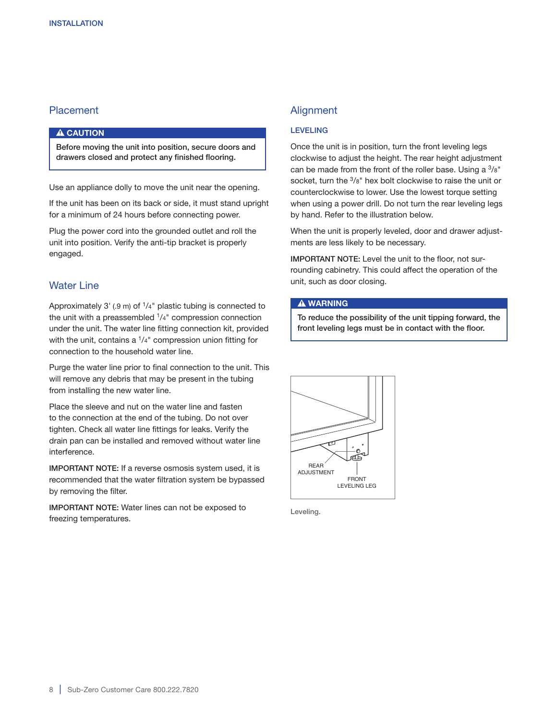# **Placement**

#### **A** CAUTION

Before moving the unit into position, secure doors and drawers closed and protect any finished flooring.

Use an appliance dolly to move the unit near the opening.

If the unit has been on its back or side, it must stand upright for a minimum of 24 hours before connecting power.

Plug the power cord into the grounded outlet and roll the unit into position. Verify the anti-tip bracket is properly engaged.

#### Water Line

Approximately  $3'$  (.9 m) of  $1/4''$  plastic tubing is connected to the unit with a preassembled  $1/4$ " compression connection under the unit. The water line fitting connection kit, provided with the unit, contains a <sup>1</sup>/<sub>4</sub>" compression union fitting for connection to the household water line.

Purge the water line prior to final connection to the unit. This will remove any debris that may be present in the tubing from installing the new water line.

Place the sleeve and nut on the water line and fasten to the connection at the end of the tubing. Do not over tighten. Check all water line fittings for leaks. Verify the drain pan can be installed and removed without water line interference.

IMPORTANT NOTE: If a reverse osmosis system used, it is recommended that the water filtration system be bypassed by removing the filter.

IMPORTANT NOTE: Water lines can not be exposed to freezing temperatures.

# **Alignment**

#### LEVELING

Once the unit is in position, turn the front leveling legs clockwise to adjust the height. The rear height adjustment can be made from the front of the roller base. Using a  $\frac{3}{8}$ " socket, turn the 3/8" hex bolt clockwise to raise the unit or counterclockwise to lower. Use the lowest torque setting when using a power drill. Do not turn the rear leveling legs by hand. Refer to the illustration below.

When the unit is properly leveled, door and drawer adjustments are less likely to be necessary.

IMPORTANT NOTE: Level the unit to the floor, not surrounding cabinetry. This could affect the operation of the unit, such as door closing.

#### **A WARNING**

To reduce the possibility of the unit tipping forward, the front leveling legs must be in contact with the floor.



Leveling.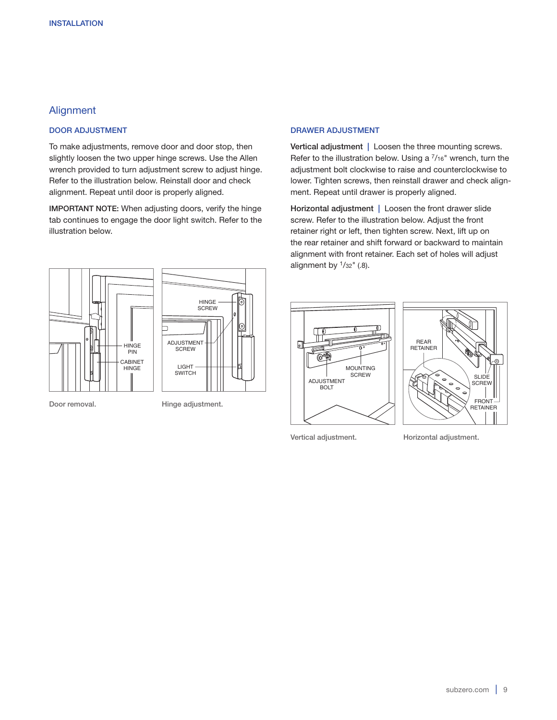# **Alignment**

#### DOOR ADJUSTMENT

To make adjustments, remove door and door stop, then slightly loosen the two upper hinge screws. Use the Allen wrench provided to turn adjustment screw to adjust hinge. Refer to the illustration below. Reinstall door and check alignment. Repeat until door is properly aligned.

IMPORTANT NOTE: When adjusting doors, verify the hinge tab continues to engage the door light switch. Refer to the illustration below.





Door removal. Hinge adjustment.

#### DRAWER ADJUSTMENT

Vertical adjustment | Loosen the three mounting screws. Refer to the illustration below. Using a  $\frac{7}{16}$ " wrench, turn the adjustment bolt clockwise to raise and counterclockwise to lower. Tighten screws, then reinstall drawer and check alignment. Repeat until drawer is properly aligned.

Horizontal adjustment | Loosen the front drawer slide screw. Refer to the illustration below. Adjust the front retainer right or left, then tighten screw. Next, lift up on the rear retainer and shift forward or backward to maintain alignment with front retainer. Each set of holes will adjust alignment by  $\frac{1}{32}$ " (.8).





Vertical adjustment. Horizontal adjustment.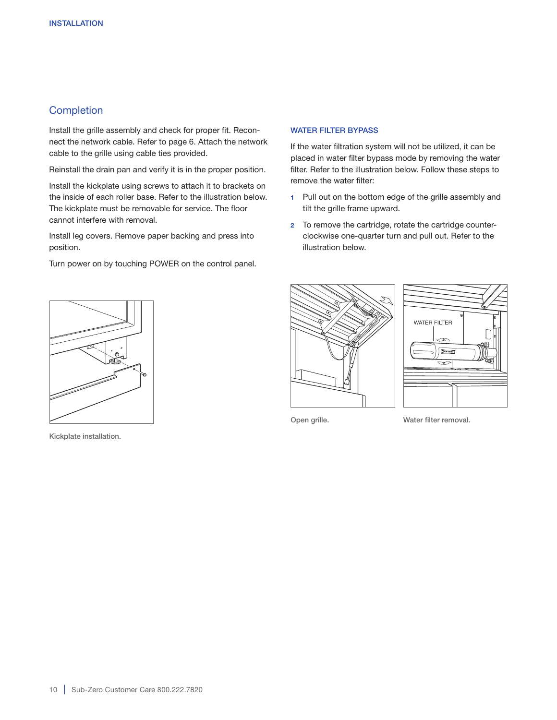# **Completion**

Install the grille assembly and check for proper fit. Reconnect the network cable. Refer to page 6. Attach the network cable to the grille using cable ties provided.

Reinstall the drain pan and verify it is in the proper position.

Install the kickplate using screws to attach it to brackets on the inside of each roller base. Refer to the illustration below. The kickplate must be removable for service. The floor cannot interfere with removal.

Install leg covers. Remove paper backing and press into position.

Turn power on by touching POWER on the control panel.

#### WATER FILTER BYPASS

If the water filtration system will not be utilized, it can be placed in water filter bypass mode by removing the water filter. Refer to the illustration below. Follow these steps to remove the water filter:

- 1 Pull out on the bottom edge of the grille assembly and tilt the grille frame upward.
- 2 To remove the cartridge, rotate the cartridge counterclockwise one-quarter turn and pull out. Refer to the illustration below.



Kickplate installation.





Open grille. Water filter removal.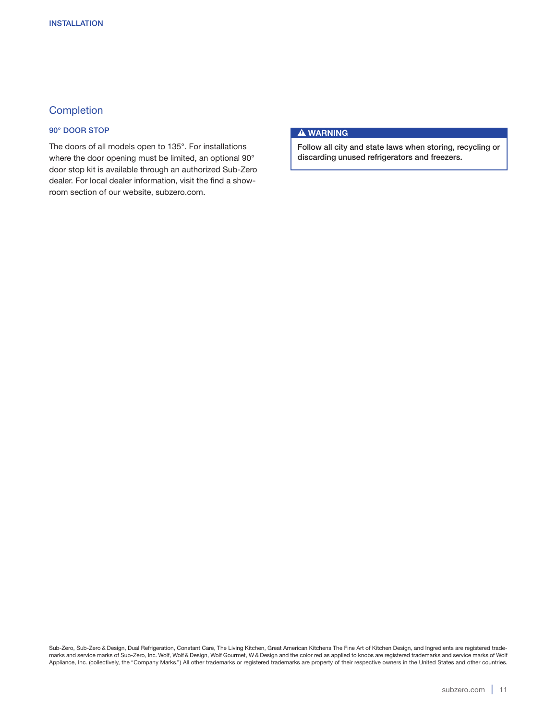# **Completion**

#### 90° DOOR STOP

The doors of all models open to 135°. For installations where the door opening must be limited, an optional 90° door stop kit is available through an authorized Sub-Zero dealer. For local dealer information, visit the find a showroom section of our website, subzero.com.

#### **A WARNING**

Follow all city and state laws when storing, recycling or discarding unused refrigerators and freezers.

Sub-Zero, Sub-Zero & Design, Dual Refrigeration, Constant Care, The Living Kitchen, Great American Kitchens The Fine Art of Kitchen Design, and Ingredients are registered trademarks and service marks of Sub-Zero, Inc. Wolf, Wolf & Design, Wolf Gourmet, W & Design and the color red as applied to knobs are registered trademarks and service marks of Wolf Appliance, Inc. (collectively, the "Company Marks.") All other trademarks or registered trademarks are property of their respective owners in the United States and other countries.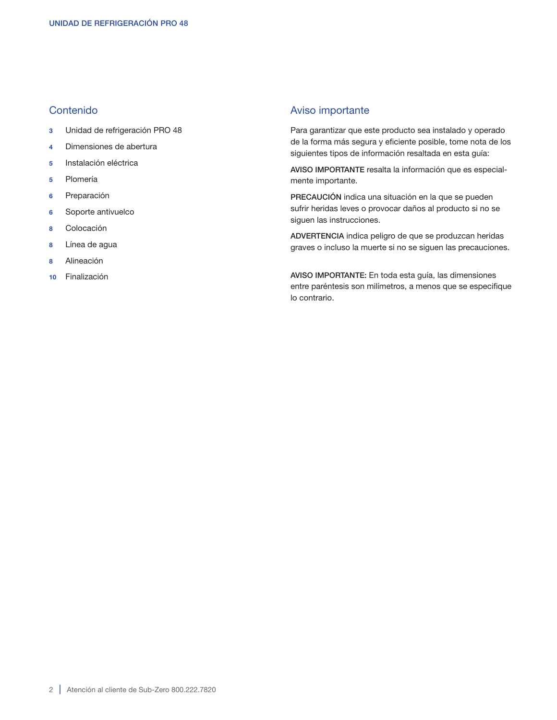# Contenido

- 3 Unidad de refrigeración PRO 48
- 4 Dimensiones de abertura
- 5 Instalación eléctrica
- 5 Plomería
- 6 Preparación
- 6 Soporte antivuelco
- 8 Colocación
- 8 Línea de agua
- 8 Alineación
- 10 Finalización

# Aviso importante

Para garantizar que este producto sea instalado y operado de la forma más segura y eficiente posible, tome nota de los siguientes tipos de información resaltada en esta guía:

AVISO IMPORTANTE resalta la información que es especialmente importante.

PRECAUCIÓN indica una situación en la que se pueden sufrir heridas leves o provocar daños al producto si no se siguen las instrucciones.

ADVERTENCIA indica peligro de que se produzcan heridas graves o incluso la muerte si no se siguen las precauciones.

AVISO IMPORTANTE: En toda esta guía, las dimensiones entre paréntesis son milímetros, a menos que se especifique lo contrario.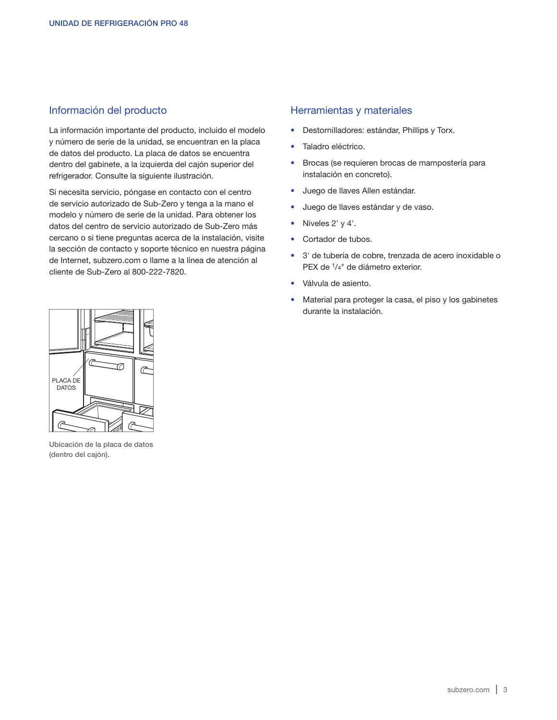# Información del producto

La información importante del producto, incluido el modelo y número de serie de la unidad, se encuentran en la placa de datos del producto. La placa de datos se encuentra dentro del gabinete, a la izquierda del cajón superior del refrigerador. Consulte la siguiente ilustración.

Si necesita servicio, póngase en contacto con el centro de servicio autorizado de Sub-Zero y tenga a la mano el modelo y número de serie de la unidad. Para obtener los datos del centro de servicio autorizado de Sub-Zero más cercano o si tiene preguntas acerca de la instalación, visite la sección de contacto y soporte técnico en nuestra página de Internet, subzero.com o llame a la línea de atención al cliente de Sub-Zero al 800-222-7820.

# Herramientas y materiales

- Destornilladores: estándar, Phillips y Torx.
- Taladro eléctrico.
- Brocas (se requieren brocas de mampostería para instalación en concreto).
- Juego de llaves Allen estándar.
- Juego de llaves estándar y de vaso.
- Niveles 2' y 4'.
- Cortador de tubos.
- 3' de tubería de cobre, trenzada de acero inoxidable o PEX de 1/4" de diámetro exterior.
- Válvula de asiento.
- Material para proteger la casa, el piso y los gabinetes durante la instalación.



Ubicación de la placa de datos (dentro del cajón).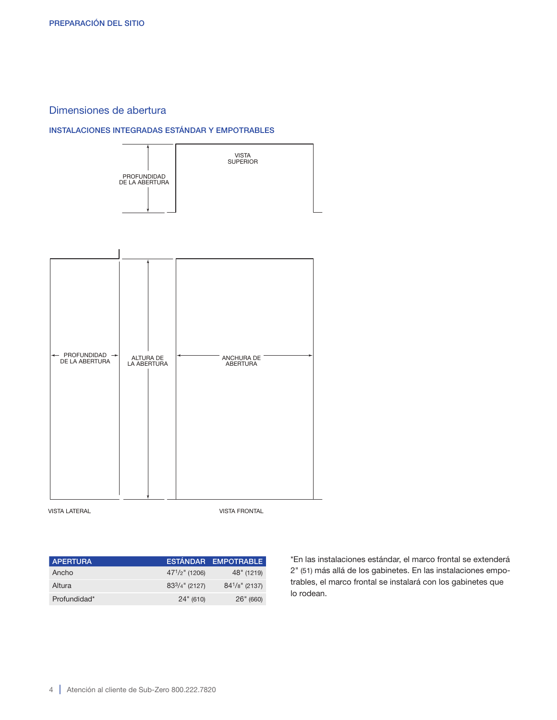# Dimensiones de abertura

# INSTALACIONES INTEGRADAS ESTÁNDAR Y EMPOTRABLES



**VISTA LATERAL EXECUTE OF A SIDE VISTA FRONTAL** 

| <b>APERTURA</b> |                     | ESTÁNDAR EMPOTRABLE |
|-----------------|---------------------|---------------------|
| Ancho           | $47^{1}/2$ " (1206) | 48" (1219)          |
| Altura          | $83^{3}/4$ " (2127) | $84^{1}/8$ " (2137) |
| Profundidad*    | 24" (610)           | 26" (660)           |

\*En las instalaciones estándar, el marco frontal se extenderá 2" (51) más allá de los gabinetes. En las instalaciones empotrables, el marco frontal se instalará con los gabinetes que lo rodean.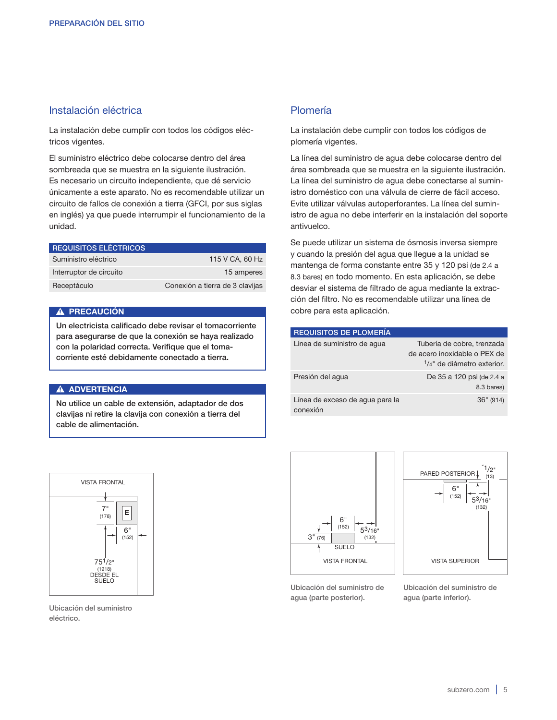# Instalación eléctrica

La instalación debe cumplir con todos los códigos eléctricos vigentes.

El suministro eléctrico debe colocarse dentro del área sombreada que se muestra en la siguiente ilustración. Es necesario un circuito independiente, que dé servicio únicamente a este aparato. No es recomendable utilizar un circuito de fallos de conexión a tierra (GFCI, por sus siglas en inglés) ya que puede interrumpir el funcionamiento de la unidad.

| <b>REQUISITOS ELÉCTRICOS</b> |                                 |
|------------------------------|---------------------------------|
| Suministro eléctrico         | 115 V CA, 60 Hz                 |
| Interruptor de circuito      | 15 amperes                      |
| Receptáculo                  | Conexión a tierra de 3 clavijas |

#### A PRECAUCIÓN

Un electricista calificado debe revisar el tomacorriente para asegurarse de que la conexión se haya realizado con la polaridad correcta. Verifique que el tomacorriente esté debidamente conectado a tierra.

#### **A ADVERTENCIA**

No utilice un cable de extensión, adaptador de dos clavijas ni retire la clavija con conexión a tierra del cable de alimentación.



Ubicación del suministro eléctrico.

# Plomería

La instalación debe cumplir con todos los códigos de plomería vigentes.

La línea del suministro de agua debe colocarse dentro del área sombreada que se muestra en la siguiente ilustración. La línea del suministro de agua debe conectarse al suministro doméstico con una válvula de cierre de fácil acceso. Evite utilizar válvulas autoperforantes. La línea del suministro de agua no debe interferir en la instalación del soporte antivuelco.

Se puede utilizar un sistema de ósmosis inversa siempre y cuando la presión del agua que llegue a la unidad se mantenga de forma constante entre 35 y 120 psi (de 2.4 a 8.3 bares) en todo momento. En esta aplicación, se debe desviar el sistema de filtrado de agua mediante la extracción del filtro. No es recomendable utilizar una línea de cobre para esta aplicación.

| <b>REQUISITOS DE PLOMERÍA</b>               |                                                                                                     |
|---------------------------------------------|-----------------------------------------------------------------------------------------------------|
| Línea de suministro de agua                 | Tubería de cobre, trenzada<br>de acero inoxidable o PEX de<br>$\frac{1}{4}$ " de diámetro exterior. |
| Presión del aqua                            | De 35 a 120 psi (de 2.4 a<br>8.3 bares)                                                             |
| Línea de exceso de agua para la<br>conexión | 36" (914)                                                                                           |





Ubicación del suministro de agua (parte posterior).

Ubicación del suministro de agua (parte inferior).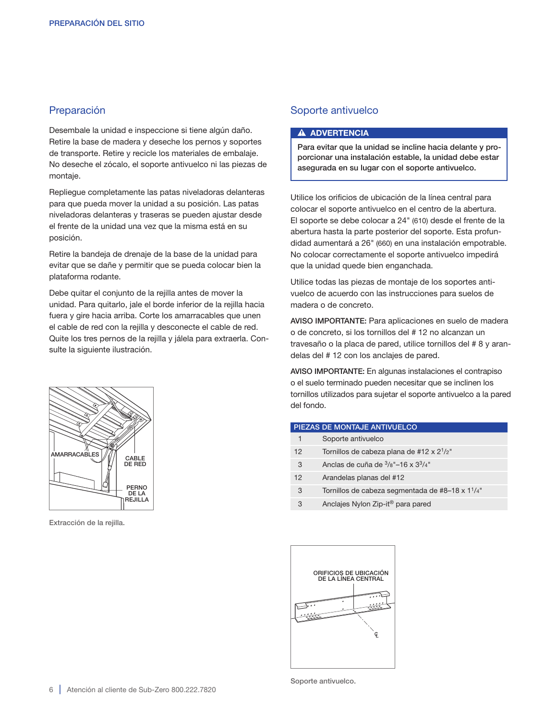# Preparación

Desembale la unidad e inspeccione si tiene algún daño. Retire la base de madera y deseche los pernos y soportes de transporte. Retire y recicle los materiales de embalaje. No deseche el zócalo, el soporte antivuelco ni las piezas de montaje.

Repliegue completamente las patas niveladoras delanteras para que pueda mover la unidad a su posición. Las patas niveladoras delanteras y traseras se pueden ajustar desde el frente de la unidad una vez que la misma está en su posición.

Retire la bandeja de drenaje de la base de la unidad para evitar que se dañe y permitir que se pueda colocar bien la plataforma rodante.

Debe quitar el conjunto de la rejilla antes de mover la unidad. Para quitarlo, jale el borde inferior de la rejilla hacia fuera y gire hacia arriba. Corte los amarracables que unen el cable de red con la rejilla y desconecte el cable de red. Quite los tres pernos de la rejilla y jálela para extraerla. Consulte la siguiente ilustración.

# Soporte antivuelco

#### **A ADVERTENCIA**

Para evitar que la unidad se incline hacia delante y proporcionar una instalación estable, la unidad debe estar asegurada en su lugar con el soporte antivuelco.

Utilice los orificios de ubicación de la línea central para colocar el soporte antivuelco en el centro de la abertura. El soporte se debe colocar a 24" (610) desde el frente de la abertura hasta la parte posterior del soporte. Esta profundidad aumentará a 26" (660) en una instalación empotrable. No colocar correctamente el soporte antivuelco impedirá que la unidad quede bien enganchada.

Utilice todas las piezas de montaje de los soportes antivuelco de acuerdo con las instrucciones para suelos de madera o de concreto.

AVISO IMPORTANTE: Para aplicaciones en suelo de madera o de concreto, si los tornillos del # 12 no alcanzan un travesaño o la placa de pared, utilice tornillos del # 8 y arandelas del # 12 con los anclajes de pared.

AVISO IMPORTANTE: En algunas instalaciones el contrapiso o el suelo terminado pueden necesitar que se inclinen los tornillos utilizados para sujetar el soporte antivuelco a la pared del fondo.

| PIEZAS DE MONTAJE ANTIVUELCO |                                                              |
|------------------------------|--------------------------------------------------------------|
| 1                            | Soporte antivuelco                                           |
| 12                           | Tornillos de cabeza plana de #12 x $2^{1/2}$ "               |
| 3                            | Anclas de cuña de $\frac{3}{8}$ "-16 x $3\frac{3}{4}$ "      |
| 12                           | Arandelas planas del #12                                     |
| 3                            | Tornillos de cabeza segmentada de #8-18 x 1 <sup>1</sup> /4" |
| 3                            | Anclajes Nylon Zip-it <sup>®</sup> para pared                |





Extracción de la rejilla.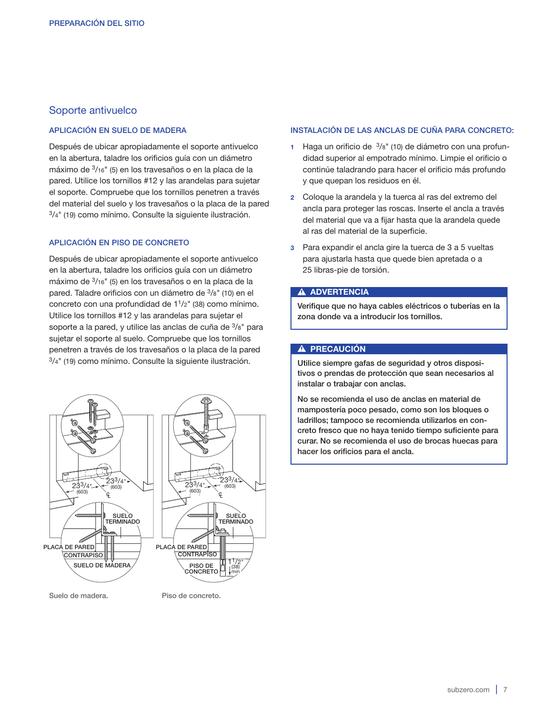# Soporte antivuelco

#### APLICACIÓN EN SUELO DE MADERA

Después de ubicar apropiadamente el soporte antivuelco en la abertura, taladre los orificios guía con un diámetro máximo de 3/16" (5) en los travesaños o en la placa de la pared. Utilice los tornillos #12 y las arandelas para sujetar el soporte. Compruebe que los tornillos penetren a través del material del suelo y los travesaños o la placa de la pared 3/4" (19) como mínimo. Consulte la siguiente ilustración.

#### APLICACIÓN EN PISO DE CONCRETO

Después de ubicar apropiadamente el soporte antivuelco en la abertura, taladre los orificios guía con un diámetro máximo de 3/16" (5) en los travesaños o en la placa de la pared. Taladre orificios con un diámetro de 3/8" (10) en el concreto con una profundidad de 11/2" (38) como mínimo. Utilice los tornillos #12 y las arandelas para sujetar el soporte a la pared, y utilice las anclas de cuña de 3/8" para sujetar el soporte al suelo. Compruebe que los tornillos penetren a través de los travesaños o la placa de la pared 3/4" (19) como mínimo. Consulte la siguiente ilustración.



Suelo de madera. Piso de concreto.

#### INSTALACIÓN DE LAS ANCLAS DE CUÑA PARA CONCRETO:

- 1 Haga un orificio de  $3/8$ " (10) de diámetro con una profundidad superior al empotrado mínimo. Limpie el orificio o continúe taladrando para hacer el orificio más profundo y que quepan los residuos en él.
- 2 Coloque la arandela y la tuerca al ras del extremo del ancla para proteger las roscas. Inserte el ancla a través del material que va a fijar hasta que la arandela quede al ras del material de la superficie.
- 3 Para expandir el ancla gire la tuerca de 3 a 5 vueltas para ajustarla hasta que quede bien apretada o a 25 libras-pie de torsión.

#### **A ADVERTENCIA**

Verifique que no haya cables eléctricos o tuberías en la zona donde va a introducir los tornillos.

#### A PRECAUCIÓN

Utilice siempre gafas de seguridad y otros dispositivos o prendas de protección que sean necesarios al instalar o trabajar con anclas.

No se recomienda el uso de anclas en material de mampostería poco pesado, como son los bloques o ladrillos; tampoco se recomienda utilizarlos en concreto fresco que no haya tenido tiempo suficiente para curar. No se recomienda el uso de brocas huecas para hacer los orificios para el ancla.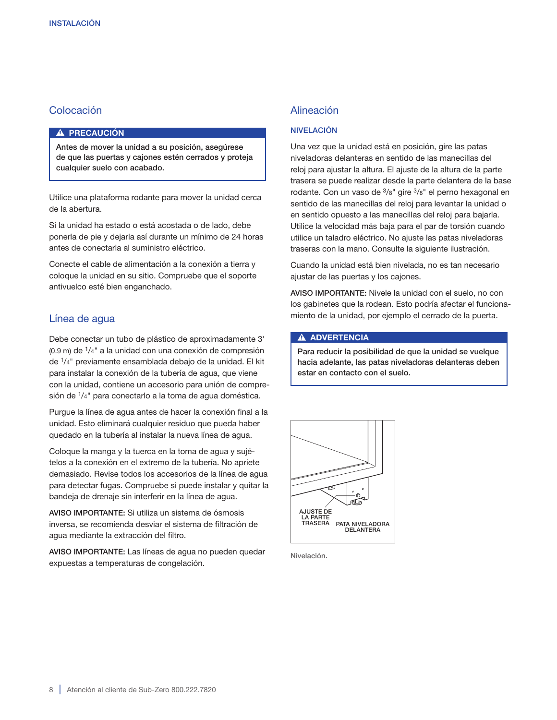# Colocación

#### A PRECAUCIÓN

Antes de mover la unidad a su posición, asegúrese de que las puertas y cajones estén cerrados y proteja cualquier suelo con acabado.

Utilice una plataforma rodante para mover la unidad cerca de la abertura.

Si la unidad ha estado o está acostada o de lado, debe ponerla de pie y dejarla así durante un mínimo de 24 horas antes de conectarla al suministro eléctrico.

Conecte el cable de alimentación a la conexión a tierra y coloque la unidad en su sitio. Compruebe que el soporte antivuelco esté bien enganchado.

# Línea de agua

Debe conectar un tubo de plástico de aproximadamente 3'  $(0.9 \text{ m})$  de  $\frac{1}{4}$ " a la unidad con una conexión de compresión de 1/4" previamente ensamblada debajo de la unidad. El kit para instalar la conexión de la tubería de agua, que viene con la unidad, contiene un accesorio para unión de compresión de 1/4" para conectarlo a la toma de agua doméstica.

Purgue la línea de agua antes de hacer la conexión final a la unidad. Esto eliminará cualquier residuo que pueda haber quedado en la tubería al instalar la nueva línea de agua.

Coloque la manga y la tuerca en la toma de agua y sujételos a la conexión en el extremo de la tubería. No apriete demasiado. Revise todos los accesorios de la línea de agua para detectar fugas. Compruebe si puede instalar y quitar la bandeja de drenaje sin interferir en la línea de agua.

AVISO IMPORTANTE: Si utiliza un sistema de ósmosis inversa, se recomienda desviar el sistema de filtración de agua mediante la extracción del filtro.

AVISO IMPORTANTE: Las líneas de agua no pueden quedar expuestas a temperaturas de congelación.

# Alineación

#### NIVELACIÓN

Una vez que la unidad está en posición, gire las patas niveladoras delanteras en sentido de las manecillas del reloj para ajustar la altura. El ajuste de la altura de la parte trasera se puede realizar desde la parte delantera de la base rodante. Con un vaso de  $3/8$ " gire  $3/8$ " el perno hexagonal en sentido de las manecillas del reloj para levantar la unidad o en sentido opuesto a las manecillas del reloj para bajarla. Utilice la velocidad más baja para el par de torsión cuando utilice un taladro eléctrico. No ajuste las patas niveladoras traseras con la mano. Consulte la siguiente ilustración.

Cuando la unidad está bien nivelada, no es tan necesario ajustar de las puertas y los cajones.

AVISO IMPORTANTE: Nivele la unidad con el suelo, no con los gabinetes que la rodean. Esto podría afectar el funcionamiento de la unidad, por ejemplo el cerrado de la puerta.

#### **A ADVERTENCIA**

Para reducir la posibilidad de que la unidad se vuelque hacia adelante, las patas niveladoras delanteras deben estar en contacto con el suelo.



Nivelación.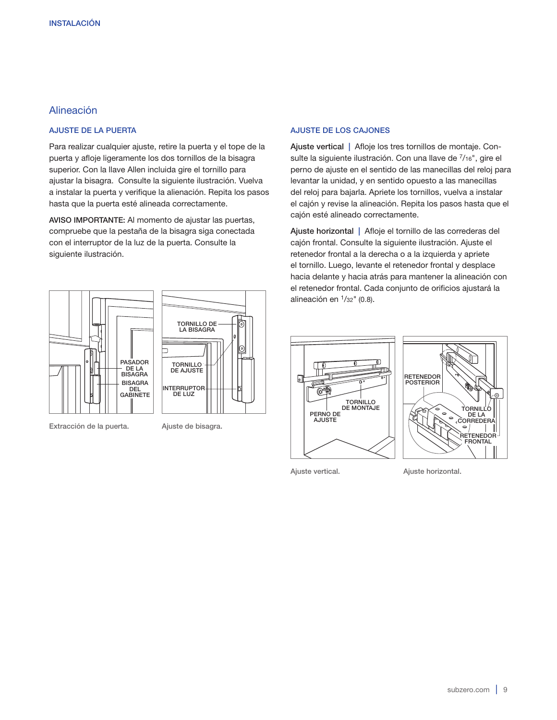# Alineación

#### AJUSTE DE LA PUERTA

Para realizar cualquier ajuste, retire la puerta y el tope de la puerta y afloje ligeramente los dos tornillos de la bisagra superior. Con la llave Allen incluida gire el tornillo para ajustar la bisagra. Consulte la siguiente ilustración. Vuelva a instalar la puerta y verifique la alienación. Repita los pasos hasta que la puerta esté alineada correctamente.

AVISO IMPORTANTE: Al momento de ajustar las puertas, compruebe que la pestaña de la bisagra siga conectada con el interruptor de la luz de la puerta. Consulte la siguiente ilustración.



Extracción de la puerta. Ajuste de bisagra.

#### AJUSTE DE LOS CAJONES

Ajuste vertical | Afloje los tres tornillos de montaje. Consulte la siguiente ilustración. Con una llave de 7/16", gire el perno de ajuste en el sentido de las manecillas del reloj para levantar la unidad, y en sentido opuesto a las manecillas del reloj para bajarla. Apriete los tornillos, vuelva a instalar el cajón y revise la alineación. Repita los pasos hasta que el cajón esté alineado correctamente.

Ajuste horizontal | Afloje el tornillo de las correderas del cajón frontal. Consulte la siguiente ilustración. Ajuste el retenedor frontal a la derecha o a la izquierda y apriete el tornillo. Luego, levante el retenedor frontal y desplace hacia delante y hacia atrás para mantener la alineación con el retenedor frontal. Cada conjunto de orificios ajustará la alineación en  $\frac{1}{32}$ " (0.8).





Ajuste vertical. Ajuste horizontal.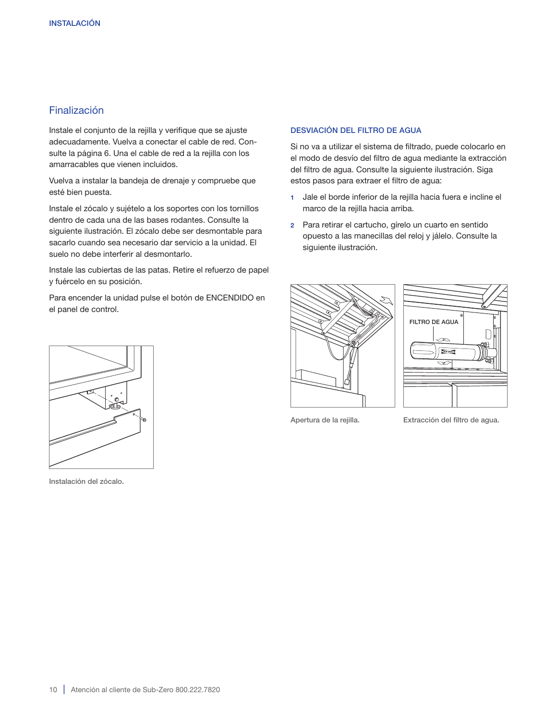# Finalización

Instale el conjunto de la rejilla y verifique que se ajuste adecuadamente. Vuelva a conectar el cable de red. Consulte la página 6. Una el cable de red a la rejilla con los amarracables que vienen incluidos.

Vuelva a instalar la bandeja de drenaje y compruebe que esté bien puesta.

Instale el zócalo y sujételo a los soportes con los tornillos dentro de cada una de las bases rodantes. Consulte la siguiente ilustración. El zócalo debe ser desmontable para sacarlo cuando sea necesario dar servicio a la unidad. El suelo no debe interferir al desmontarlo.

Instale las cubiertas de las patas. Retire el refuerzo de papel y fuércelo en su posición.

Para encender la unidad pulse el botón de ENCENDIDO en el panel de control.

#### DESVIACIÓN DEL FILTRO DE AGUA

Si no va a utilizar el sistema de filtrado, puede colocarlo en el modo de desvío del filtro de agua mediante la extracción del filtro de agua. Consulte la siguiente ilustración. Siga estos pasos para extraer el filtro de agua:

- 1 Jale el borde inferior de la rejilla hacia fuera e incline el marco de la rejilla hacia arriba.
- 2 Para retirar el cartucho, gírelo un cuarto en sentido opuesto a las manecillas del reloj y jálelo. Consulte la siguiente ilustración.





Apertura de la rejilla. Extracción del filtro de agua.



Instalación del zócalo.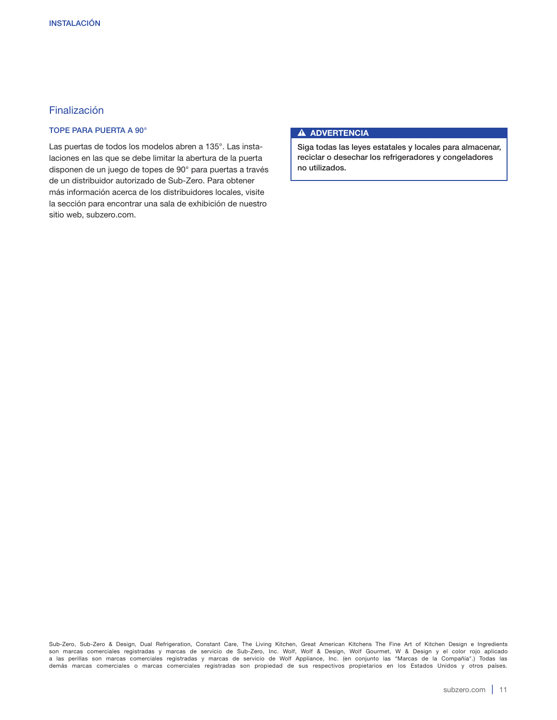# Finalización

# TOPE PARA PUERTA A 90°

Las puertas de todos los modelos abren a 135°. Las instalaciones en las que se debe limitar la abertura de la puerta disponen de un juego de topes de 90° para puertas a través de un distribuidor autorizado de Sub-Zero. Para obtener más información acerca de los distribuidores locales, visite la sección para encontrar una sala de exhibición de nuestro sitio web, subzero.com.

#### **A ADVERTENCIA**

Siga todas las leyes estatales y locales para almacenar, reciclar o desechar los refrigeradores y congeladores no utilizados.

Sub-Zero, Sub-Zero & Design, Dual Refrigeration, Constant Care, The Living Kitchen, Great American Kitchens The Fine Art of Kitchen Design e Ingredients son marcas comerciales registradas y marcas de servicio de Sub-Zero, Inc. Wolf, Wolf & Design, Wolf Gourmet, W & Design y el color rojo aplicado a las perillas son marcas comerciales registradas y marcas de servicio de Wolf Appliance, Inc. (en conjunto las "Marcas de la Compañía".) Todas las demás marcas comerciales o marcas comerciales registradas son propiedad de sus respectivos propietarios en los Estados Unidos y otros países.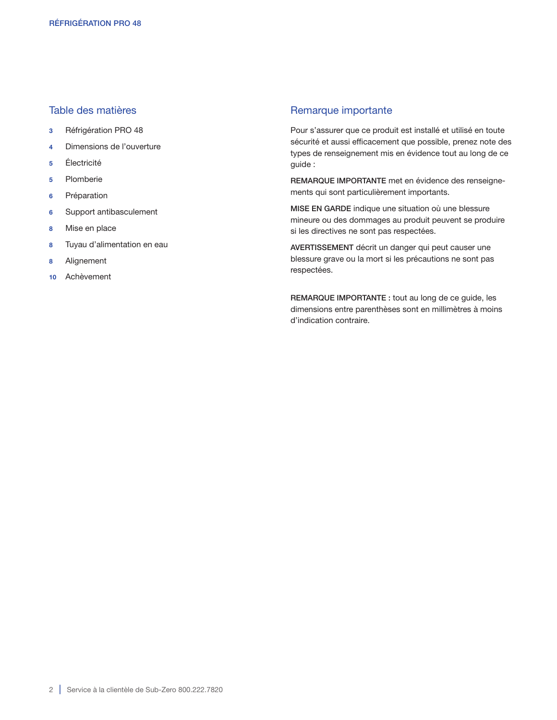# Table des matières

- 3 Réfrigération PRO 48
- 4 Dimensions de l'ouverture
- 5 Électricité
- 5 Plomberie
- 6 Préparation
- 6 Support antibasculement
- 8 Mise en place
- 8 Tuyau d'alimentation en eau
- 8 Alignement
- 10 Achèvement

# Remarque importante

Pour s'assurer que ce produit est installé et utilisé en toute sécurité et aussi efficacement que possible, prenez note des types de renseignement mis en évidence tout au long de ce guide :

REMARQUE IMPORTANTE met en évidence des renseignements qui sont particulièrement importants.

MISE EN GARDE indique une situation où une blessure mineure ou des dommages au produit peuvent se produire si les directives ne sont pas respectées.

AVERTISSEMENT décrit un danger qui peut causer une blessure grave ou la mort si les précautions ne sont pas respectées.

REMARQUE IMPORTANTE : tout au long de ce guide, les dimensions entre parenthèses sont en millimètres à moins d'indication contraire.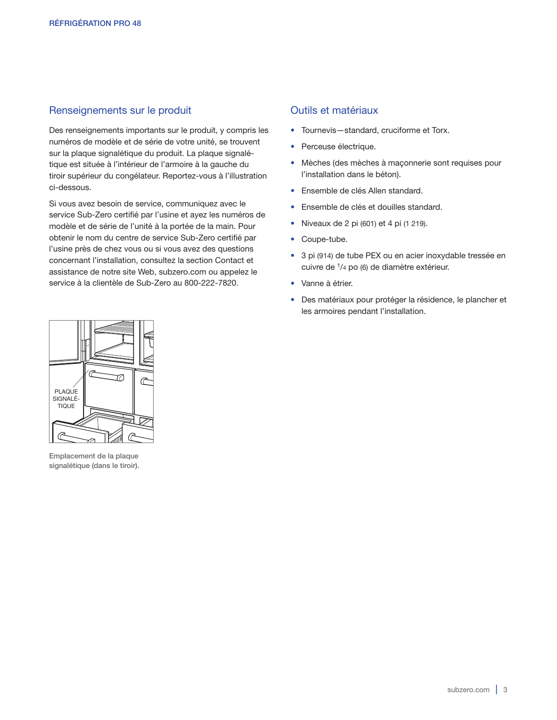# Renseignements sur le produit

Des renseignements importants sur le produit, y compris les numéros de modèle et de série de votre unité, se trouvent sur la plaque signalétique du produit. La plaque signalétique est située à l'intérieur de l'armoire à la gauche du tiroir supérieur du congélateur. Reportez-vous à l'illustration ci-dessous.

Si vous avez besoin de service, communiquez avec le service Sub-Zero certifié par l'usine et ayez les numéros de modèle et de série de l'unité à la portée de la main. Pour obtenir le nom du centre de service Sub-Zero certifié par l'usine près de chez vous ou si vous avez des questions concernant l'installation, consultez la section Contact et assistance de notre site Web, subzero.com ou appelez le service à la clientèle de Sub-Zero au 800-222-7820.

# Outils et matériaux

- Tournevis—standard, cruciforme et Torx.
- Perceuse électrique.
- Mèches (des mèches à maçonnerie sont requises pour l'installation dans le béton).
- Ensemble de clés Allen standard.
- Ensemble de clés et douilles standard.
- Niveaux de 2 pi (601) et 4 pi (1 219).
- Coupe-tube.
- 3 pi (914) de tube PEX ou en acier inoxydable tressée en cuivre de 1/4 po (6) de diamètre extérieur.
- Vanne à étrier.
- Des matériaux pour protéger la résidence, le plancher et les armoires pendant l'installation.



Emplacement de la plaque signalétique (dans le tiroir).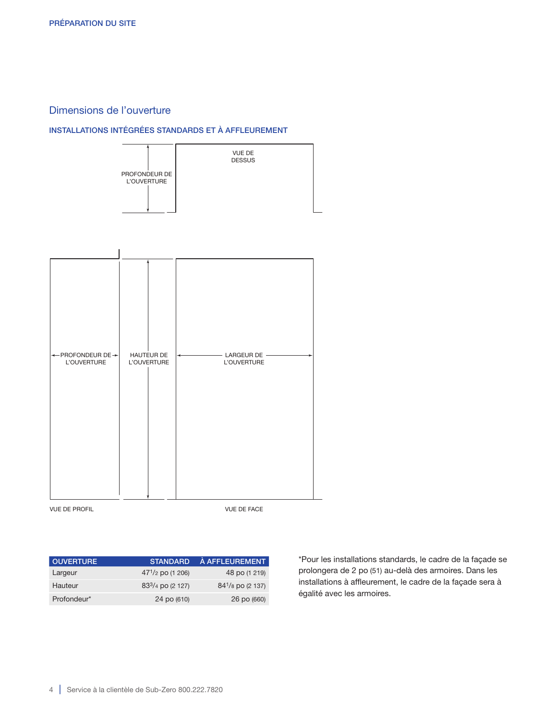# Dimensions de l'ouverture

#### INSTALLATIONS INTÉGRÉES STANDARDS ET À AFFLEUREMENT





VUE DE PROFIL VIEW TO A LA CONTROL VIEW OF FACE

| <b>OUVERTURE</b> | <b>STANDARD</b>                           | À AFFLEUREMENT        |
|------------------|-------------------------------------------|-----------------------|
| Largeur          | $47^{1}/2$ po (1 206)                     | 48 po (1 219)         |
| Hauteur          | 83 <sup>3</sup> / <sub>4</sub> po (2 127) | $84^{1}/8$ po (2 137) |
| Profondeur*      | 24 po (610)                               | 26 po (660)           |

\*Pour les installations standards, le cadre de la façade se prolongera de 2 po (51) au-delà des armoires. Dans les installations à affleurement, le cadre de la façade sera à égalité avec les armoires.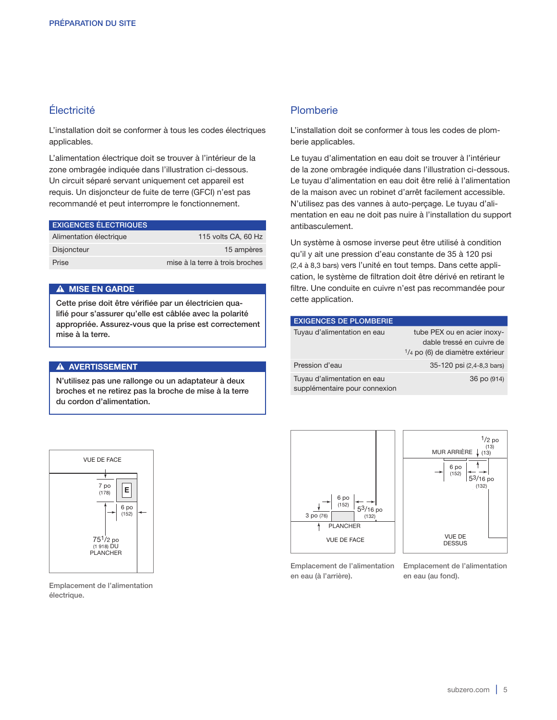# Électricité

L'installation doit se conformer à tous les codes électriques applicables.

L'alimentation électrique doit se trouver à l'intérieur de la zone ombragée indiquée dans l'illustration ci-dessous. Un circuit séparé servant uniquement cet appareil est requis. Un disjoncteur de fuite de terre (GFCI) n'est pas recommandé et peut interrompre le fonctionnement.

| <b>EXIGENCES ÉLECTRIQUES</b> |                                 |
|------------------------------|---------------------------------|
| Alimentation électrique      | 115 volts CA, 60 Hz             |
| <b>Disjoncteur</b>           | 15 ampères                      |
| Prise                        | mise à la terre à trois broches |

#### A MISE EN GARDE

Cette prise doit être vérifiée par un électricien qualifié pour s'assurer qu'elle est câblée avec la polarité appropriée. Assurez-vous que la prise est correctement mise à la terre.

#### A AVERTISSEMENT

N'utilisez pas une rallonge ou un adaptateur à deux broches et ne retirez pas la broche de mise à la terre du cordon d'alimentation.

# Plomberie

L'installation doit se conformer à tous les codes de plomberie applicables.

Le tuyau d'alimentation en eau doit se trouver à l'intérieur de la zone ombragée indiquée dans l'illustration ci-dessous. Le tuyau d'alimentation en eau doit être relié à l'alimentation de la maison avec un robinet d'arrêt facilement accessible. N'utilisez pas des vannes à auto-perçage. Le tuyau d'alimentation en eau ne doit pas nuire à l'installation du support antibasculement.

Un système à osmose inverse peut être utilisé à condition qu'il y ait une pression d'eau constante de 35 à 120 psi (2,4 à 8,3 bars) vers l'unité en tout temps. Dans cette application, le système de filtration doit être dérivé en retirant le filtre. Une conduite en cuivre n'est pas recommandée pour cette application.

| <b>EXIGENCES DE PLOMBERIE</b>                                |                                                                                                        |
|--------------------------------------------------------------|--------------------------------------------------------------------------------------------------------|
| Tuyau d'alimentation en eau                                  | tube PEX ou en acier inoxy-<br>dable tressé en cuivre de<br>$\frac{1}{4}$ po (6) de diamètre extérieur |
| Pression d'eau                                               | 35-120 psi (2,4-8,3 bars)                                                                              |
| Tuyau d'alimentation en eau<br>supplémentaire pour connexion | 36 po (914)                                                                                            |





Emplacement de l'alimentation en eau (à l'arrière).

Emplacement de l'alimentation en eau (au fond).



Emplacement de l'alimentation électrique.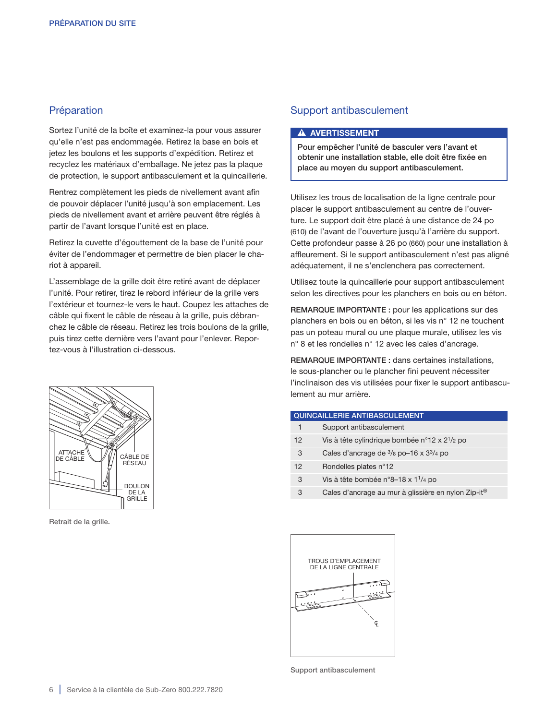# Préparation

Sortez l'unité de la boîte et examinez-la pour vous assurer qu'elle n'est pas endommagée. Retirez la base en bois et jetez les boulons et les supports d'expédition. Retirez et recyclez les matériaux d'emballage. Ne jetez pas la plaque de protection, le support antibasculement et la quincaillerie.

Rentrez complètement les pieds de nivellement avant afin de pouvoir déplacer l'unité jusqu'à son emplacement. Les pieds de nivellement avant et arrière peuvent être réglés à partir de l'avant lorsque l'unité est en place.

Retirez la cuvette d'égouttement de la base de l'unité pour éviter de l'endommager et permettre de bien placer le chariot à appareil.

L'assemblage de la grille doit être retiré avant de déplacer l'unité. Pour retirer, tirez le rebord inférieur de la grille vers l'extérieur et tournez-le vers le haut. Coupez les attaches de câble qui fixent le câble de réseau à la grille, puis débranchez le câble de réseau. Retirez les trois boulons de la grille, puis tirez cette dernière vers l'avant pour l'enlever. Reportez-vous à l'illustration ci-dessous.

# CÂBLE DE RÉSEAU DE LA GRILLE ATTACHE<sup>®</sup> BOULON DE CÂBLE

Retrait de la grille.

#### Support antibasculement

#### **A AVERTISSEMENT**

Pour empêcher l'unité de basculer vers l'avant et obtenir une installation stable, elle doit être fixée en place au moyen du support antibasculement.

Utilisez les trous de localisation de la ligne centrale pour placer le support antibasculement au centre de l'ouverture. Le support doit être placé à une distance de 24 po (610) de l'avant de l'ouverture jusqu'à l'arrière du support. Cette profondeur passe à 26 po (660) pour une installation à affleurement. Si le support antibasculement n'est pas aligné adéquatement, il ne s'enclenchera pas correctement.

Utilisez toute la quincaillerie pour support antibasculement selon les directives pour les planchers en bois ou en béton.

REMARQUE IMPORTANTE : pour les applications sur des planchers en bois ou en béton, si les vis n° 12 ne touchent pas un poteau mural ou une plaque murale, utilisez les vis n° 8 et les rondelles n° 12 avec les cales d'ancrage.

REMARQUE IMPORTANTE : dans certaines installations, le sous-plancher ou le plancher fini peuvent nécessiter l'inclinaison des vis utilisées pour fixer le support antibasculement au mur arrière.

|         | <b>QUINCAILLERIE ANTIBASCULEMENT</b>                       |  |
|---------|------------------------------------------------------------|--|
| 1       | Support antibasculement                                    |  |
| $12 \,$ | Vis à tête cylindrique bombée n°12 x 2 <sup>1</sup> /2 po  |  |
| 3       | Cales d'ancrage de $\frac{3}{8}$ po-16 x $\frac{33}{4}$ po |  |
| 12      | Rondelles plates n°12                                      |  |
| 3       | Vis à tête bombée n°8-18 x 1 <sup>1</sup> /4 po            |  |
|         |                                                            |  |

3 Cales d'ancrage au mur à glissière en nylon Zip-it®



Support antibasculement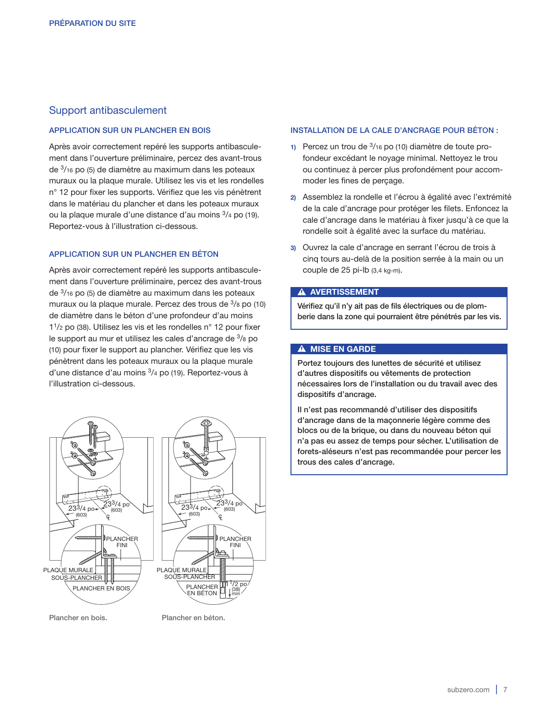# Support antibasculement

#### APPLICATION SUR UN PLANCHER EN BOIS

Après avoir correctement repéré les supports antibasculement dans l'ouverture préliminaire, percez des avant-trous de 3/16 po (5) de diamètre au maximum dans les poteaux muraux ou la plaque murale. Utilisez les vis et les rondelles n° 12 pour fixer les supports. Vérifiez que les vis pénètrent dans le matériau du plancher et dans les poteaux muraux ou la plaque murale d'une distance d'au moins 3/4 po (19). Reportez-vous à l'illustration ci-dessous.

#### APPLICATION SUR UN PLANCHER EN BÉTON

Après avoir correctement repéré les supports antibasculement dans l'ouverture préliminaire, percez des avant-trous de 3/16 po (5) de diamètre au maximum dans les poteaux muraux ou la plaque murale. Percez des trous de 3/8 po (10) de diamètre dans le béton d'une profondeur d'au moins 11/2 po (38). Utilisez les vis et les rondelles n° 12 pour fixer le support au mur et utilisez les cales d'ancrage de 3/8 po (10) pour fixer le support au plancher. Vérifiez que les vis pénètrent dans les poteaux muraux ou la plaque murale d'une distance d'au moins 3/4 po (19). Reportez-vous à l'illustration ci-dessous.



Plancher en bois. Plancher en béton.

#### INSTALLATION DE LA CALE D'ANCRAGE POUR BÉTON :

- 1) Percez un trou de  $\frac{3}{16}$  po (10) diamètre de toute profondeur excédant le noyage minimal. Nettoyez le trou ou continuez à percer plus profondément pour accommoder les fines de perçage.
- 2) Assemblez la rondelle et l'écrou à égalité avec l'extrémité de la cale d'ancrage pour protéger les filets. Enfoncez la cale d'ancrage dans le matériau à fixer jusqu'à ce que la rondelle soit à égalité avec la surface du matériau.
- 3) Ouvrez la cale d'ancrage en serrant l'écrou de trois à cinq tours au-delà de la position serrée à la main ou un couple de 25 pi-lb (3,4 kg-m).

#### **A AVERTISSEMENT**

Vérifiez qu'il n'y ait pas de fils électriques ou de plomberie dans la zone qui pourraient être pénétrés par les vis.

#### A MISE EN GARDE

Portez toujours des lunettes de sécurité et utilisez d'autres dispositifs ou vêtements de protection nécessaires lors de l'installation ou du travail avec des dispositifs d'ancrage.

Il n'est pas recommandé d'utiliser des dispositifs d'ancrage dans de la maçonnerie légère comme des blocs ou de la brique, ou dans du nouveau béton qui n'a pas eu assez de temps pour sécher. L'utilisation de forets-aléseurs n'est pas recommandée pour percer les trous des cales d'ancrage.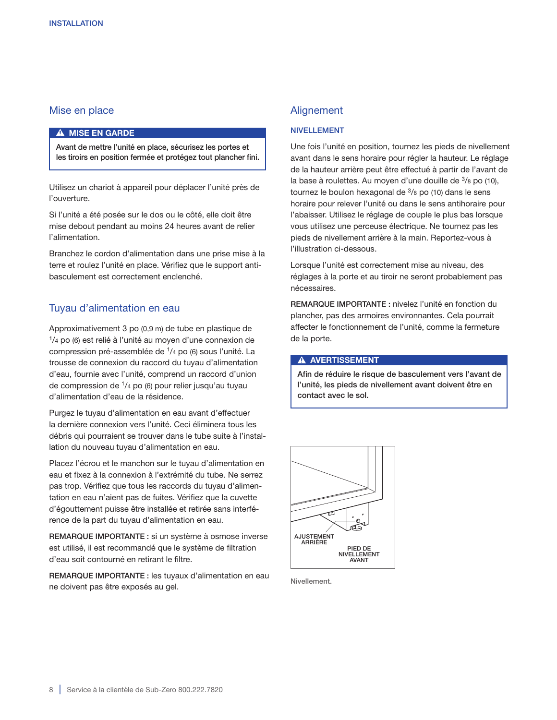# Mise en place

#### A MISE EN GARDE

Avant de mettre l'unité en place, sécurisez les portes et les tiroirs en position fermée et protégez tout plancher fini.

Utilisez un chariot à appareil pour déplacer l'unité près de l'ouverture.

Si l'unité a été posée sur le dos ou le côté, elle doit être mise debout pendant au moins 24 heures avant de relier l'alimentation.

Branchez le cordon d'alimentation dans une prise mise à la terre et roulez l'unité en place. Vérifiez que le support antibasculement est correctement enclenché.

#### Tuyau d'alimentation en eau

Approximativement 3 po (0,9 m) de tube en plastique de 1/4 po (6) est relié à l'unité au moyen d'une connexion de compression pré-assemblée de 1/4 po (6) sous l'unité. La trousse de connexion du raccord du tuyau d'alimentation d'eau, fournie avec l'unité, comprend un raccord d'union de compression de 1/4 po (6) pour relier jusqu'au tuyau d'alimentation d'eau de la résidence.

Purgez le tuyau d'alimentation en eau avant d'effectuer la dernière connexion vers l'unité. Ceci éliminera tous les débris qui pourraient se trouver dans le tube suite à l'installation du nouveau tuyau d'alimentation en eau.

Placez l'écrou et le manchon sur le tuyau d'alimentation en eau et fixez à la connexion à l'extrémité du tube. Ne serrez pas trop. Vérifiez que tous les raccords du tuyau d'alimentation en eau n'aient pas de fuites. Vérifiez que la cuvette d'égouttement puisse être installée et retirée sans interférence de la part du tuyau d'alimentation en eau.

REMARQUE IMPORTANTE : si un système à osmose inverse est utilisé, il est recommandé que le système de filtration d'eau soit contourné en retirant le filtre.

REMARQUE IMPORTANTE : les tuyaux d'alimentation en eau ne doivent pas être exposés au gel.

# Alignement

#### NIVELLEMENT

Une fois l'unité en position, tournez les pieds de nivellement avant dans le sens horaire pour régler la hauteur. Le réglage de la hauteur arrière peut être effectué à partir de l'avant de la base à roulettes. Au moyen d'une douille de 3/8 po (10), tournez le boulon hexagonal de  $3/8$  po (10) dans le sens horaire pour relever l'unité ou dans le sens antihoraire pour l'abaisser. Utilisez le réglage de couple le plus bas lorsque vous utilisez une perceuse électrique. Ne tournez pas les pieds de nivellement arrière à la main. Reportez-vous à l'illustration ci-dessous.

Lorsque l'unité est correctement mise au niveau, des réglages à la porte et au tiroir ne seront probablement pas nécessaires.

REMARQUE IMPORTANTE : nivelez l'unité en fonction du plancher, pas des armoires environnantes. Cela pourrait affecter le fonctionnement de l'unité, comme la fermeture de la porte.

#### **A AVERTISSEMENT**

Afin de réduire le risque de basculement vers l'avant de l'unité, les pieds de nivellement avant doivent être en contact avec le sol.



Nivellement.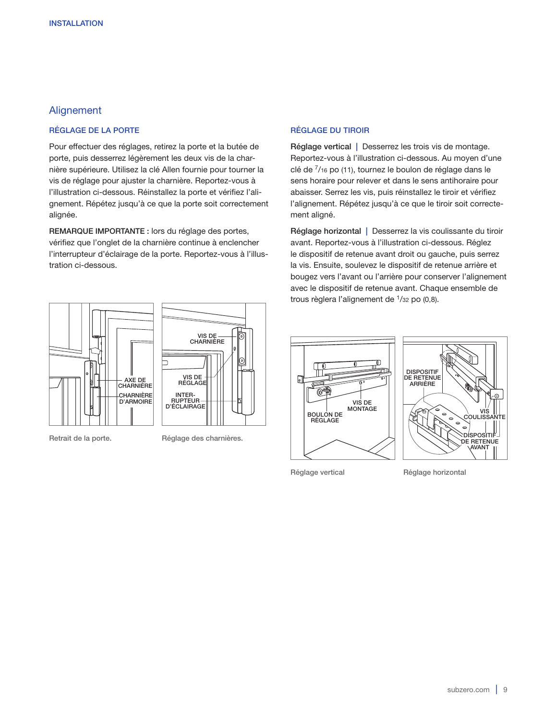# Alignement

#### RÉGLAGE DE LA PORTE

Pour effectuer des réglages, retirez la porte et la butée de porte, puis desserrez légèrement les deux vis de la charnière supérieure. Utilisez la clé Allen fournie pour tourner la vis de réglage pour ajuster la charnière. Reportez-vous à l'illustration ci-dessous. Réinstallez la porte et vérifiez l'alignement. Répétez jusqu'à ce que la porte soit correctement alignée.

REMARQUE IMPORTANTE : lors du réglage des portes, vérifiez que l'onglet de la charnière continue à enclencher l'interrupteur d'éclairage de la porte. Reportez-vous à l'illustration ci-dessous.



Retrait de la porte. Réglage des charnières.

#### RÉGLAGE DU TIROIR

Réglage vertical | Desserrez les trois vis de montage. Reportez-vous à l'illustration ci-dessous. Au moyen d'une clé de 7/16 po (11), tournez le boulon de réglage dans le sens horaire pour relever et dans le sens antihoraire pour abaisser. Serrez les vis, puis réinstallez le tiroir et vérifiez l'alignement. Répétez jusqu'à ce que le tiroir soit correctement aligné.

Réglage horizontal | Desserrez la vis coulissante du tiroir avant. Reportez-vous à l'illustration ci-dessous. Réglez le dispositif de retenue avant droit ou gauche, puis serrez la vis. Ensuite, soulevez le dispositif de retenue arrière et bougez vers l'avant ou l'arrière pour conserver l'alignement avec le dispositif de retenue avant. Chaque ensemble de trous règlera l'alignement de  $1/32$  po  $(0,8)$ .





Réglage vertical Réglage horizontal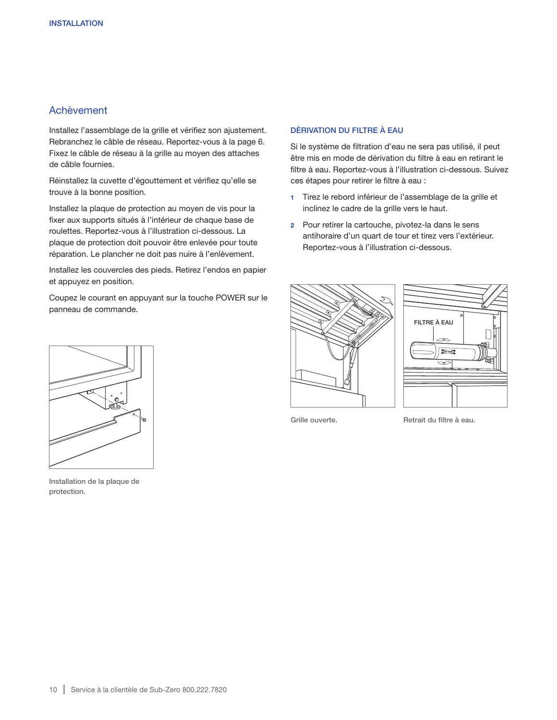# Achèvement

Installez l'assemblage de la grille et vérifiez son ajustement. Rebranchez le câble de réseau. Reportez-vous à la page 6. Fixez le câble de réseau à la grille au moyen des attaches de câble fournies.

Réinstallez la cuvette d'égouttement et vérifiez qu'elle se trouve à la bonne position.

Installez la plaque de protection au moyen de vis pour la fixer aux supports situés à l'intérieur de chaque base de roulettes. Reportez-vous à l'illustration ci-dessous. La plaque de protection doit pouvoir être enlevée pour toute réparation. Le plancher ne doit pas nuire à l'enlèvement.

Installez les couvercles des pieds. Retirez l'endos en papier et appuyez en position.

Coupez le courant en appuyant sur la touche POWER sur le panneau de commande.

#### DÉRIVATION DU FILTRE À EAU

Si le système de filtration d'eau ne sera pas utilisé, il peut être mis en mode de dérivation du filtre à eau en retirant le filtre à eau. Reportez-vous à l'illustration ci-dessous. Suivez ces étapes pour retirer le filtre à eau :

- 1 Tirez le rebord inférieur de l'assemblage de la grille et inclinez le cadre de la grille vers le haut.
- 2 Pour retirer la cartouche, pivotez-la dans le sens antihoraire d'un quart de tour et tirez vers l'extérieur. Reportez-vous à l'illustration ci-dessous.





Grille ouverte. The Section of Retrait du filtre à eau.



Installation de la plaque de protection.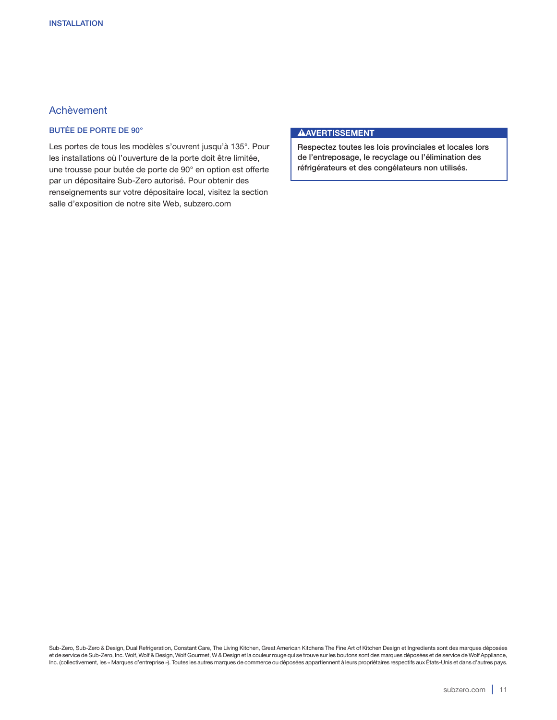# Achèvement

# BUTÉE DE PORTE DE 90°

Les portes de tous les modèles s'ouvrent jusqu'à 135°. Pour les installations où l'ouverture de la porte doit être limitée, une trousse pour butée de porte de 90° en option est offerte par un dépositaire Sub-Zero autorisé. Pour obtenir des renseignements sur votre dépositaire local, visitez la section salle d'exposition de notre site Web, subzero.com

#### **AAVERTISSEMENT**

Respectez toutes les lois provinciales et locales lors de l'entreposage, le recyclage ou l'élimination des réfrigérateurs et des congélateurs non utilisés.

Sub-Zero, Sub-Zero & Design, Dual Refrigeration, Constant Care, The Living Kitchen, Great American Kitchens The Fine Art of Kitchen Design et Ingredients sont des marques déposées et de service de Sub-Zero, Inc. Wolf, Wolf & Design, Wolf Gourmet, W & Design et la couleur rouge qui se trouve sur les boutons sont des marques déposées et de service de Wolf Appliance, Inc. (collectivement, les « Marques d'entreprise »). Toutes les autres marques de commerce ou déposées appartiennent à leurs propriétaires respectifs aux États-Unis et dans d'autres pays.